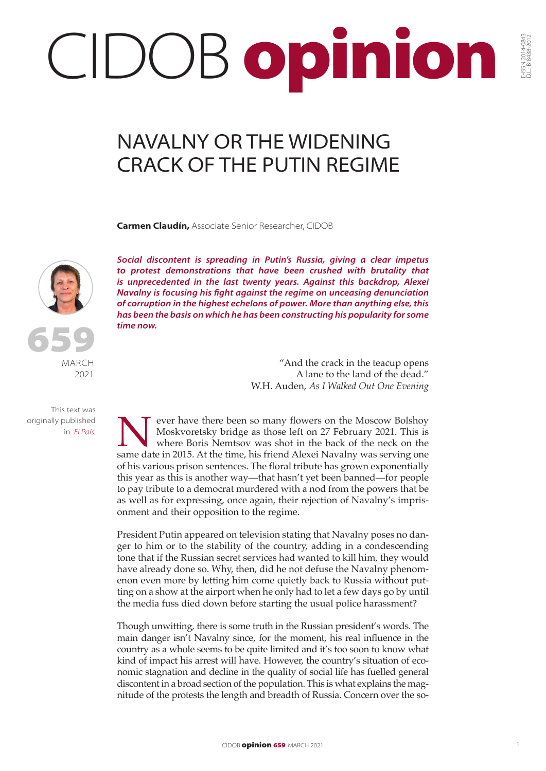## CIDOB opinion

## NAVALNY OR THE WIDENING CRACK OF THE PUTIN REGIME

**Carmen Claudín,** Associate Senior Researcher, CIDOB





MARCH 2021

This text was originally published in *El País.*

*Social discontent is spreading in Putin's Russia, giving a clear impetus to protest demonstrations that have been crushed with brutality that is unprecedented in the last twenty years. Against this backdrop, Alexei Navalny is focusing his fight against the regime on unceasing denunciation of corruption in the highest echelons of power. More than anything else, this has been the basis on which he has been constructing his popularity for some time now.*

> "And the crack in the teacup opens A lane to the land of the dead." W.H. Auden, *As I Walked Out One Evening*

Never have there been so many flowers on the Moscow Bolshoy<br>Moskvoretsky bridge as those left on 27 February 2021. This is<br>where Boris Nemtsov was shot in the back of the neck on the<br>same date in 2015. At the time, his fri Moskvoretsky bridge as those left on 27 February 2021. This is where Boris Nemtsov was shot in the back of the neck on the same date in 2015. At the time, his friend Alexei Navalny was serving one of his various prison sentences. The floral tribute has grown exponentially this year as this is another way—that hasn't yet been banned—for people to pay tribute to a democrat murdered with a nod from the powers that be as well as for expressing, once again, their rejection of Navalny's imprisonment and their opposition to the regime.

President Putin appeared on television stating that Navalny poses no danger to him or to the stability of the country, adding in a condescending tone that if the Russian secret services had wanted to kill him, they would have already done so. Why, then, did he not defuse the Navalny phenomenon even more by letting him come quietly back to Russia without putting on a show at the airport when he only had to let a few days go by until the media fuss died down before starting the usual police harassment?

Though unwitting, there is some truth in the Russian president's words. The main danger isn't Navalny since, for the moment, his real influence in the country as a whole seems to be quite limited and it's too soon to know what kind of impact his arrest will have. However, the country's situation of economic stagnation and decline in the quality of social life has fuelled general discontent in a broad section of the population. This is what explains the magnitude of the protests the length and breadth of Russia. Concern over the so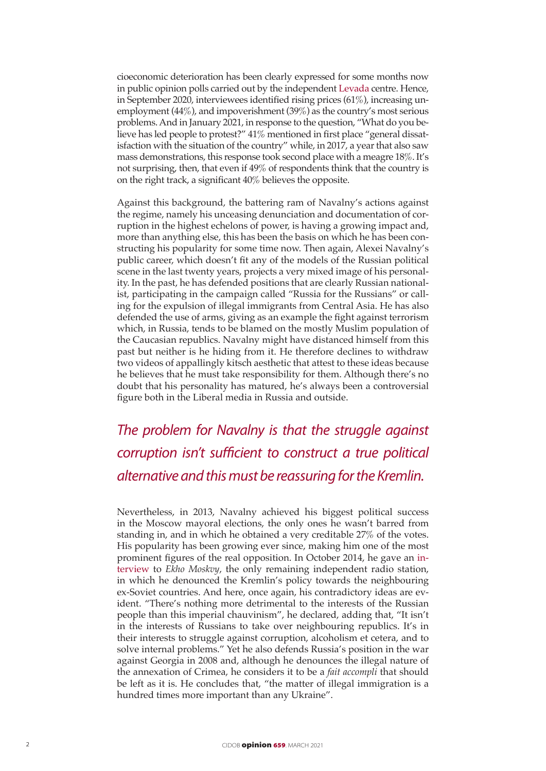cioeconomic deterioration has been clearly expressed for some months now in public opinion polls carried out by the independent [Levada](https://www.levada.ru/en/) centre. Hence, in September 2020, interviewees identified rising prices (61%), increasing unemployment (44%), and impoverishment (39%) as the country's most serious problems. And in January 2021, in response to the question, "What do you believe has led people to protest?" 41% mentioned in first place "general dissatisfaction with the situation of the country" while, in 2017, a year that also saw mass demonstrations, this response took second place with a meagre 18%. It's not surprising, then, that even if 49% of respondents think that the country is on the right track, a significant 40% believes the opposite.

Against this background, the battering ram of Navalny's actions against the regime, namely his unceasing denunciation and documentation of corruption in the highest echelons of power, is having a growing impact and, more than anything else, this has been the basis on which he has been constructing his popularity for some time now. Then again, Alexei Navalny's public career, which doesn't fit any of the models of the Russian political scene in the last twenty years, projects a very mixed image of his personality. In the past, he has defended positions that are clearly Russian nationalist, participating in the campaign called "Russia for the Russians" or calling for the expulsion of illegal immigrants from Central Asia. He has also defended the use of arms, giving as an example the fight against terrorism which, in Russia, tends to be blamed on the mostly Muslim population of the Caucasian republics. Navalny might have distanced himself from this past but neither is he hiding from it. He therefore declines to withdraw two videos of appallingly kitsch aesthetic that attest to these ideas because he believes that he must take responsibility for them. Although there's no doubt that his personality has matured, he's always been a controversial figure both in the Liberal media in Russia and outside.

*The problem for Navalny is that the struggle against corruption isn't sufficient to construct a true political alternative and this must be reassuring for the Kremlin.*

Nevertheless, in 2013, Navalny achieved his biggest political success in the Moscow mayoral elections, the only ones he wasn't barred from standing in, and in which he obtained a very creditable 27% of the votes. His popularity has been growing ever since, making him one of the most prominent figures of the real opposition. In October 2014, he gave an [in](https://www.themoscowtimes.com/2014/10/16/navalny-wouldnt-return-crimea-considers-immigration-bigger-issue-than-ukraine-a40477)[terview](https://www.themoscowtimes.com/2014/10/16/navalny-wouldnt-return-crimea-considers-immigration-bigger-issue-than-ukraine-a40477) to *Ekho Moskvy*, the only remaining independent radio station, in which he denounced the Kremlin's policy towards the neighbouring ex-Soviet countries. And here, once again, his contradictory ideas are evident. "There's nothing more detrimental to the interests of the Russian people than this imperial chauvinism", he declared, adding that, "It isn't in the interests of Russians to take over neighbouring republics. It's in their interests to struggle against corruption, alcoholism et cetera, and to solve internal problems." Yet he also defends Russia's position in the war against Georgia in 2008 and, although he denounces the illegal nature of the annexation of Crimea, he considers it to be a *fait accompli* that should be left as it is. He concludes that, "the matter of illegal immigration is a hundred times more important than any Ukraine".